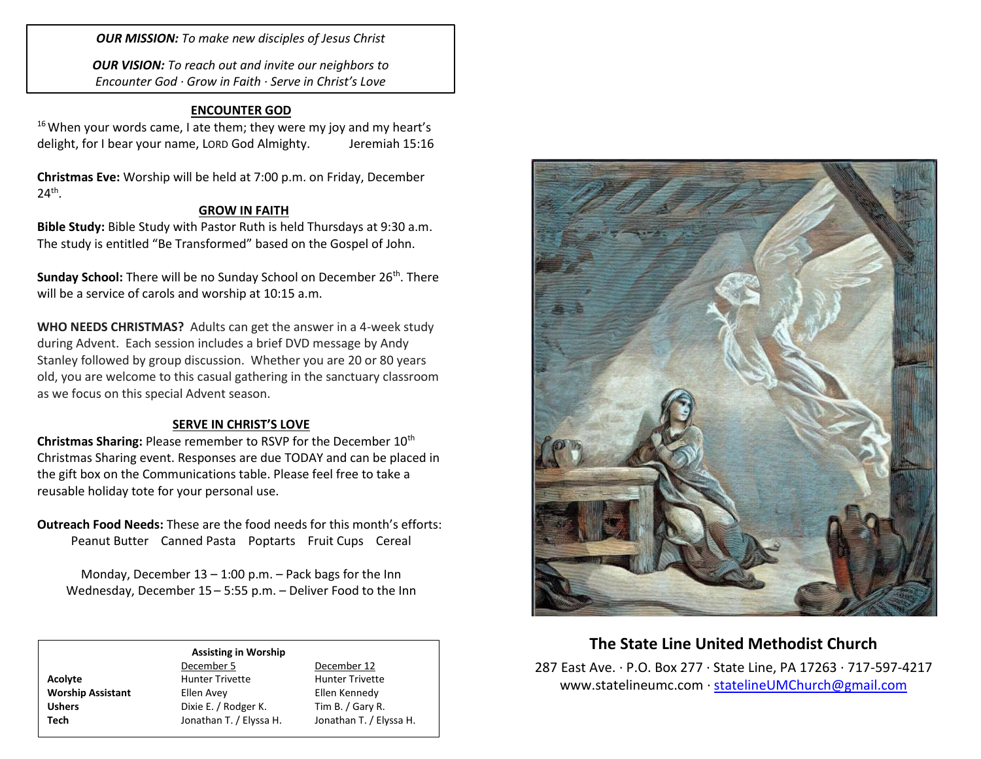*OUR MISSION: To make new disciples of Jesus Christ*

*OUR VISION: To reach out and invite our neighbors to Encounter God · Grow in Faith · Serve in Christ's Love*

## **ENCOUNTER GOD**

 $16$  When your words came, I ate them; they were my joy and my heart's delight, for I bear your name, LORD God Almighty. Jeremiah 15:16

**Christmas Eve:** Worship will be held at 7:00 p.m. on Friday, December  $24^{\text{th}}$ .

## **GROW IN FAITH**

**Bible Study:** Bible Study with Pastor Ruth is held Thursdays at 9:30 a.m. The study is entitled "Be Transformed" based on the Gospel of John.

**Sunday School:** There will be no Sunday School on December 26<sup>th</sup>. There will be a service of carols and worship at 10:15 a.m.

**WHO NEEDS CHRISTMAS?** Adults can get the answer in a 4-week study during Advent. Each session includes a brief DVD message by Andy Stanley followed by group discussion. Whether you are 20 or 80 years old, you are welcome to this casual gathering in the sanctuary classroom as we focus on this special Advent season.

## **SERVE IN CHRIST'S LOVE**

**Christmas Sharing:** Please remember to RSVP for the December 10<sup>th</sup> Christmas Sharing event. Responses are due TODAY and can be placed in the gift box on the Communications table. Please feel free to take a reusable holiday tote for your personal use.

**Outreach Food Needs:** These are the food needs for this month's efforts: Peanut Butter Canned Pasta Poptarts Fruit Cups Cereal

Monday, December  $13 - 1:00$  p.m.  $-$  Pack bags for the Inn Wednesday, December 15 – 5:55 p.m. – Deliver Food to the Inn

#### **Assisting in Worship**

Acolyte **Acolyte** Hunter Trivette **Hunter Trivette Worship Assistant** Ellen Avey Ellen Kennedy Ushers **Dixie E.** / Rodger K. Tim B. / Gary R.

December 5 December 12 **Tech** Jonathan T. / Elyssa H. Jonathan T. / Elyssa H.



# **The State Line United Methodist Church**

287 East Ave. · P.O. Box 277 · State Line, PA 17263 · 717-597-4217 [www.statelineumc.com](http://www.statelineumc.com/) · [statelineUMChurch@gmail.com](mailto:statelineUMChurch@gmail.com)